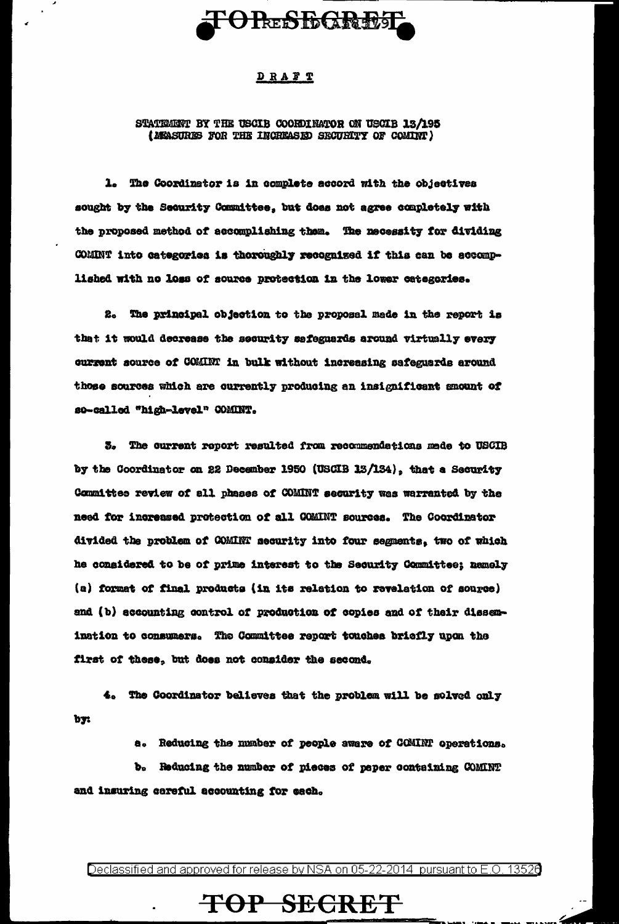# **TORESEGRET**

### DRAFT

#### STATEMENT BY THE USCIB COORDINATOR ON USCIB 13/195 (MEASURES FOR THE INCHEASED SECURITY OF COMINT)

1. The Coordinator is in complete accord with the objectives sought by the Security Committee, but does not agree completely with the proposed method of accomplishing them. The necessity for dividing COMINT into categories is thoroughly recognized if this can be accomplished with no loss of source protection in the lower categories.

2. The principal objection to the proposal mede in the report is that it would decrease the security safeguards around virtually every current source of COMINT in bulk without increasing safeguards around those sources which are currently producing an insignificant emount of so-called "high-level" COMINT.

3. The current report resulted from recommendations made to USCIB by the Coordinator on 22 December 1950 (USCIB 13/134), that a Security Committee review of all phases of COMINT security was warranted by the need for increased protection of all COMINT sources. The Coordinator divided the problem of COMINT security into four segments, two of which he considered to be of prime interest to the Security Committee; namely (a) format of final products (in its relation to revelation of source) and (b) accounting control of production of copies and of their dissemination to consumers. The Committee report touches briefly upon the first of these, but does not consider the second.

4. The Coordinator believes that the problem will be solved only by:

a. Reducing the munber of people aware of COMINT operations.

b. Reducing the number of pieces of paper containing COMINT and insuring careful accounting for each.

Declassified and approved for release by NSA on 05-22-2014 pursuant to E.O. 13526

## TOP SECRET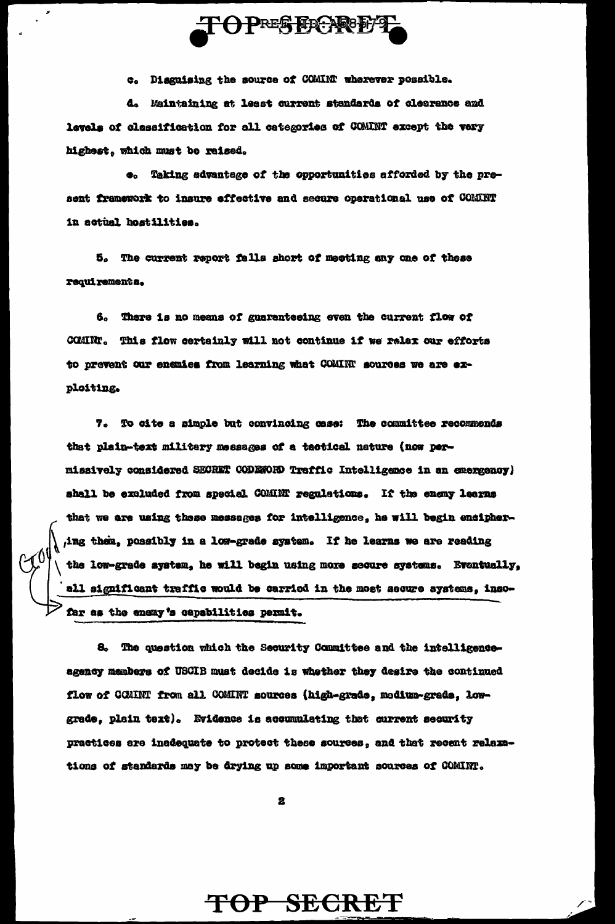

c. Disguising the source of COMINT wherever possible.

d. Maintaining at least current standards of clearance and levels of classification for all categories of COMINT except the very highest, which must be reised.

 $\bullet$ . Taking sdvantage of the opportunities afforded by the preaent framework to insure effective and secure operational use of COMINT in actual hostilities.

5. The current report falls short of meeting any one of these requirements.

6. There is no means of guaranteeing even the current flow of COMINT. This flow certainly will not continue if we relax our efforts to prevent our enanies from learning what COMINT sources we are exploiting.

7. To cite a simple but convincing case: The committee recommends that plain-text military messages of a tactical nature (now permissively considered SECRET CODENORD Traffic Intelligence in an emergency) shall be excluded from special COMINT regulations. If the enemy learns that we are using these messages for intelligence, he will begin encipher-,ing them, possibly in a low-grade system. If he learns we are reading the low-grade system, he will begin using more secure systems. Eventually, all significant traffic would be carried in the most aecure systems, insofar as the enemy's capabilities permit.

8. The question which the Security Committee and the intelligenceagency members of USCIB must decide is whether they desire the continued flow of COMINT from all COMINT sources (high-grade, modium-grade, lowgrade, plain text). Evidence is accumulating that current security practices are inadequate to protect these sources, and that recent relaxations of standards may be drying up some important sources of COMINT.

2

TOP SECRET